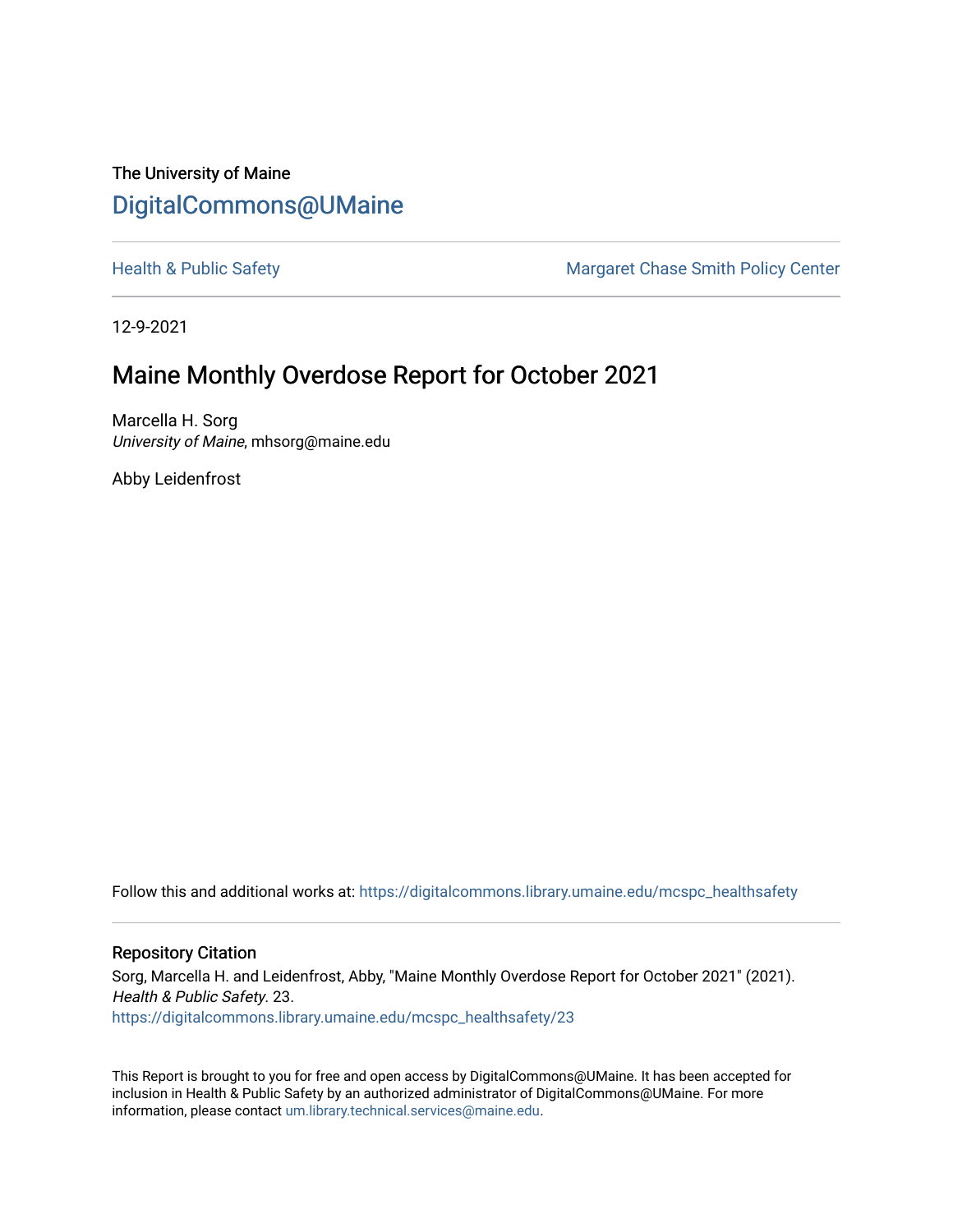The University of Maine [DigitalCommons@UMaine](https://digitalcommons.library.umaine.edu/)

[Health & Public Safety](https://digitalcommons.library.umaine.edu/mcspc_healthsafety) Margaret Chase Smith Policy Center

12-9-2021

# Maine Monthly Overdose Report for October 2021

Marcella H. Sorg University of Maine, mhsorg@maine.edu

Abby Leidenfrost

Follow this and additional works at: [https://digitalcommons.library.umaine.edu/mcspc\\_healthsafety](https://digitalcommons.library.umaine.edu/mcspc_healthsafety?utm_source=digitalcommons.library.umaine.edu%2Fmcspc_healthsafety%2F23&utm_medium=PDF&utm_campaign=PDFCoverPages) 

#### Repository Citation

Sorg, Marcella H. and Leidenfrost, Abby, "Maine Monthly Overdose Report for October 2021" (2021). Health & Public Safety. 23. [https://digitalcommons.library.umaine.edu/mcspc\\_healthsafety/23](https://digitalcommons.library.umaine.edu/mcspc_healthsafety/23?utm_source=digitalcommons.library.umaine.edu%2Fmcspc_healthsafety%2F23&utm_medium=PDF&utm_campaign=PDFCoverPages)

This Report is brought to you for free and open access by DigitalCommons@UMaine. It has been accepted for inclusion in Health & Public Safety by an authorized administrator of DigitalCommons@UMaine. For more information, please contact [um.library.technical.services@maine.edu](mailto:um.library.technical.services@maine.edu).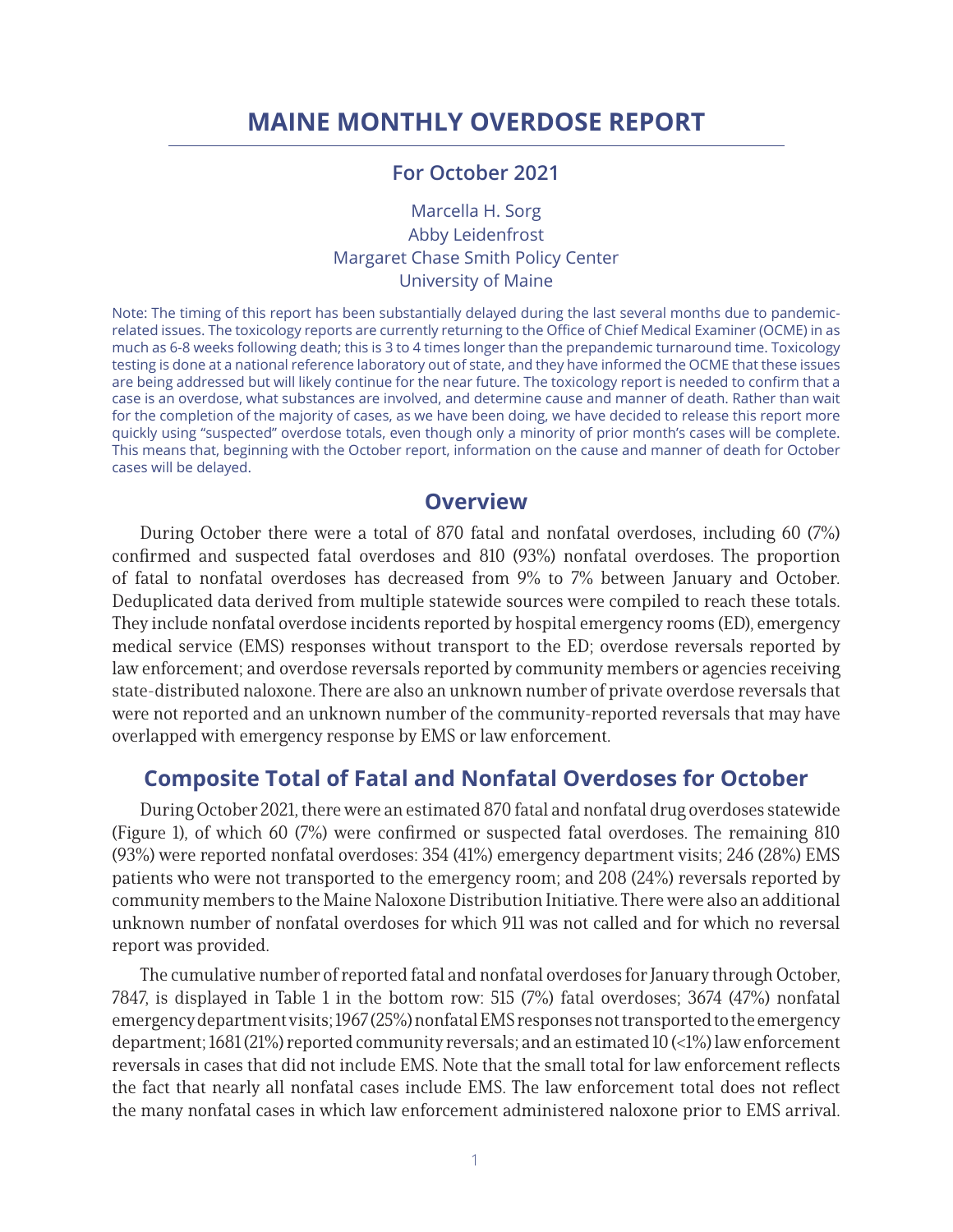# **MAINE MONTHLY OVERDOSE REPORT**

### **For October 2021**

Marcella H. Sorg Abby Leidenfrost Margaret Chase Smith Policy Center University of Maine

Note: The timing of this report has been substantially delayed during the last several months due to pandemicrelated issues. The toxicology reports are currently returning to the Office of Chief Medical Examiner (OCME) in as much as 6-8 weeks following death; this is 3 to 4 times longer than the prepandemic turnaround time. Toxicology testing is done at a national reference laboratory out of state, and they have informed the OCME that these issues are being addressed but will likely continue for the near future. The toxicology report is needed to confirm that a case is an overdose, what substances are involved, and determine cause and manner of death. Rather than wait for the completion of the majority of cases, as we have been doing, we have decided to release this report more quickly using "suspected" overdose totals, even though only a minority of prior month's cases will be complete. This means that, beginning with the October report, information on the cause and manner of death for October cases will be delayed.

### **Overview**

During October there were a total of 870 fatal and nonfatal overdoses, including 60 (7%) confirmed and suspected fatal overdoses and 810 (93%) nonfatal overdoses. The proportion of fatal to nonfatal overdoses has decreased from 9% to 7% between January and October. Deduplicated data derived from multiple statewide sources were compiled to reach these totals. They include nonfatal overdose incidents reported by hospital emergency rooms (ED), emergency medical service (EMS) responses without transport to the ED; overdose reversals reported by law enforcement; and overdose reversals reported by community members or agencies receiving state-distributed naloxone. There are also an unknown number of private overdose reversals that were not reported and an unknown number of the community-reported reversals that may have overlapped with emergency response by EMS or law enforcement.

### **Composite Total of Fatal and Nonfatal Overdoses for October**

During October 2021, there were an estimated 870 fatal and nonfatal drug overdoses statewide (Figure 1), of which 60 (7%) were confirmed or suspected fatal overdoses. The remaining 810 (93%) were reported nonfatal overdoses: 354 (41%) emergency department visits; 246 (28%) EMS patients who were not transported to the emergency room; and 208 (24%) reversals reported by community members to the Maine Naloxone Distribution Initiative. There were also an additional unknown number of nonfatal overdoses for which 911 was not called and for which no reversal report was provided.

The cumulative number of reported fatal and nonfatal overdoses for January through October, 7847, is displayed in Table 1 in the bottom row: 515 (7%) fatal overdoses; 3674 (47%) nonfatal emergency department visits; 1967 (25%) nonfatal EMS responses not transported to the emergency department; 1681 (21%) reported community reversals; and an estimated 10 (<1%) law enforcement reversals in cases that did not include EMS. Note that the small total for law enforcement reflects the fact that nearly all nonfatal cases include EMS. The law enforcement total does not reflect the many nonfatal cases in which law enforcement administered naloxone prior to EMS arrival.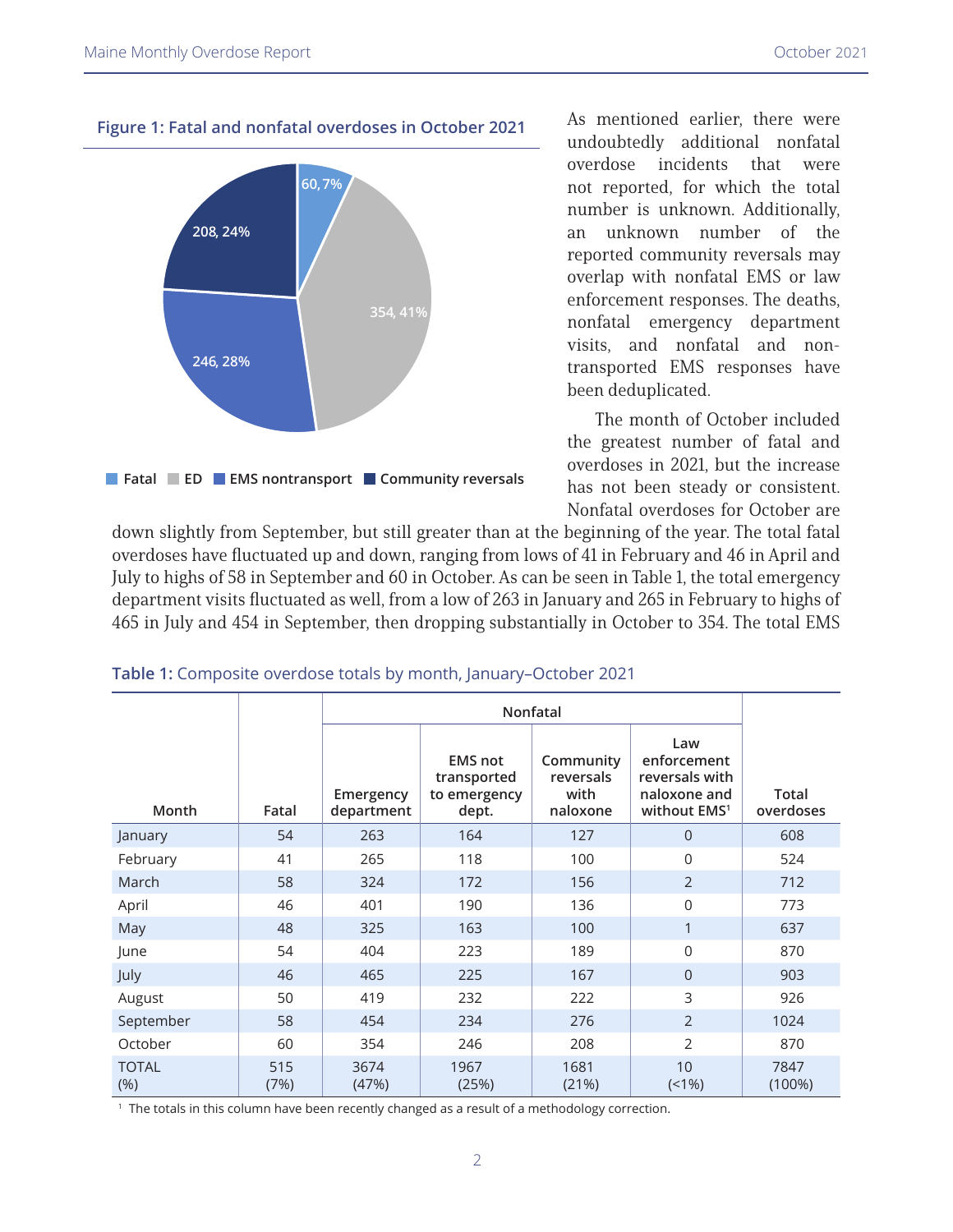

**Figure 1: Fatal and nonfatal overdoses in October 2021**

As mentioned earlier, there were undoubtedly additional nonfatal overdose incidents that were not reported, for which the total number is unknown. Additionally, an unknown number of the reported community reversals may overlap with nonfatal EMS or law enforcement responses. The deaths, nonfatal emergency department visits, and nonfatal and nontransported EMS responses have been deduplicated.

The month of October included the greatest number of fatal and overdoses in 2021, but the increase has not been steady or consistent. Nonfatal overdoses for October are

down slightly from September, but still greater than at the beginning of the year. The total fatal overdoses have fluctuated up and down, ranging from lows of 41 in February and 46 in April and July to highs of 58 in September and 60 in October. As can be seen in Table 1, the total emergency department visits fluctuated as well, from a low of 263 in January and 265 in February to highs of 465 in July and 454 in September, then dropping substantially in October to 354. The total EMS

| Month                | Fatal       | Emergency<br>department | <b>EMS not</b><br>transported<br>to emergency<br>dept. | Community<br>reversals<br>with<br>naloxone | Law<br>enforcement<br>reversals with<br>naloxone and<br>without EMS <sup>1</sup> | Total<br>overdoses |
|----------------------|-------------|-------------------------|--------------------------------------------------------|--------------------------------------------|----------------------------------------------------------------------------------|--------------------|
| January              | 54          | 263                     | 164                                                    | 127                                        | $\Omega$                                                                         | 608                |
| February             | 41          | 265                     | 118                                                    | 100                                        | $\Omega$                                                                         | 524                |
| March                | 58          | 324                     | 172                                                    | 156                                        | $\overline{2}$                                                                   | 712                |
| April                | 46          | 401                     | 190                                                    | 136                                        | $\Omega$                                                                         | 773                |
| May                  | 48          | 325                     | 163                                                    | 100                                        | 1                                                                                | 637                |
| June                 | 54          | 404                     | 223                                                    | 189                                        | $\mathbf 0$                                                                      | 870                |
| July                 | 46          | 465                     | 225                                                    | 167                                        | $\Omega$                                                                         | 903                |
| August               | 50          | 419                     | 232                                                    | 222                                        | 3                                                                                | 926                |
| September            | 58          | 454                     | 234                                                    | 276                                        | $\mathcal{P}$                                                                    | 1024               |
| October              | 60          | 354                     | 246                                                    | 208                                        | $\overline{2}$                                                                   | 870                |
| <b>TOTAL</b><br>(% ) | 515<br>(7%) | 3674<br>(47%)           | 1967<br>(25%)                                          | 1681<br>(21%)                              | 10<br>$(1\%)$                                                                    | 7847<br>$(100\%)$  |

**Table 1:** Composite overdose totals by month, January–October 2021

<sup>1</sup> The totals in this column have been recently changed as a result of a methodology correction.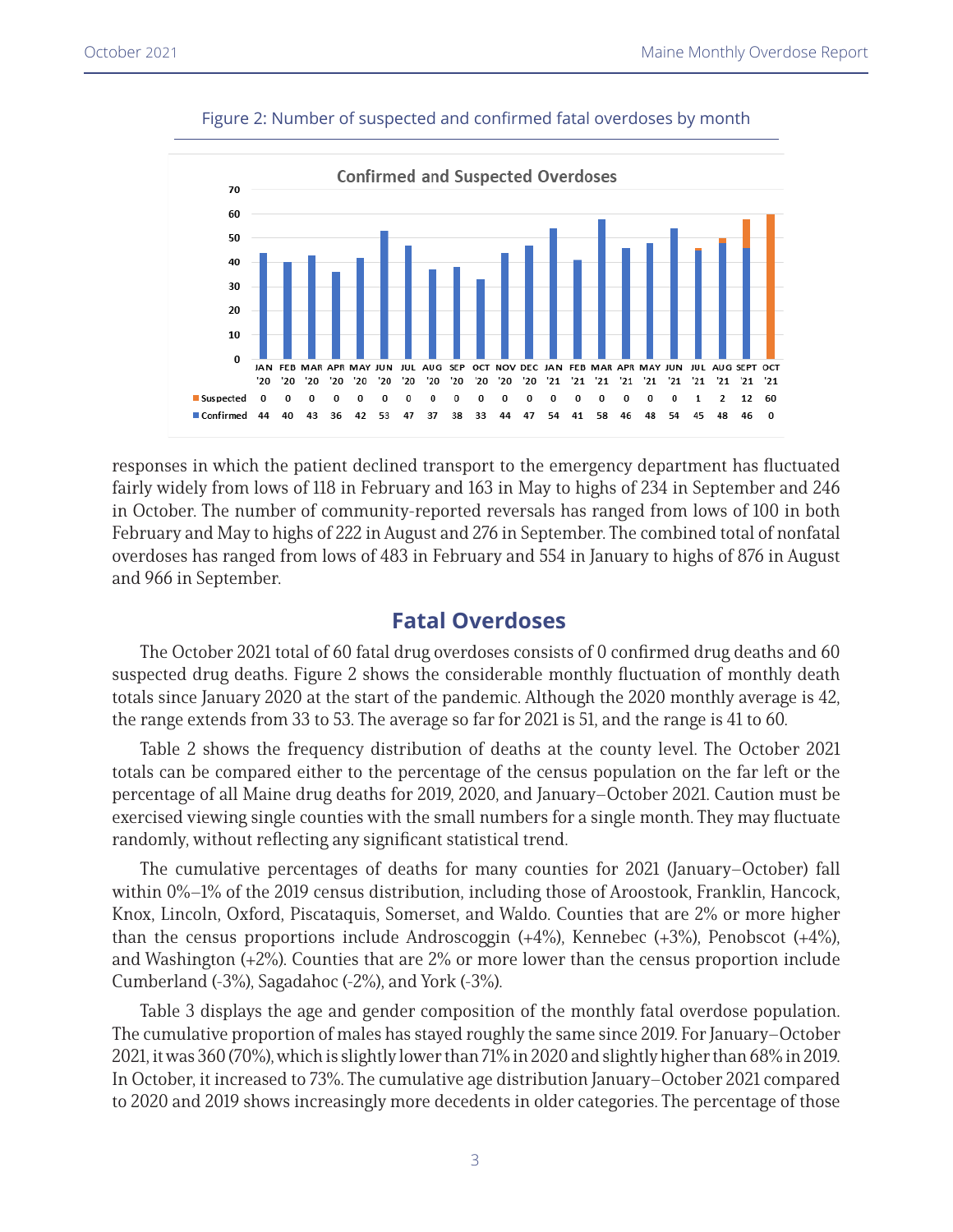

#### Figure 2: Number of suspected and confirmed fatal overdoses by month

responses in which the patient declined transport to the emergency department has fluctuated fairly widely from lows of 118 in February and 163 in May to highs of 234 in September and 246 in October. The number of community-reported reversals has ranged from lows of 100 in both February and May to highs of 222 in August and 276 in September. The combined total of nonfatal overdoses has ranged from lows of 483 in February and 554 in January to highs of 876 in August and 966 in September.

### **Fatal Overdoses**

The October 2021 total of 60 fatal drug overdoses consists of 0 confirmed drug deaths and 60 suspected drug deaths. Figure 2 shows the considerable monthly fluctuation of monthly death totals since January 2020 at the start of the pandemic. Although the 2020 monthly average is 42, the range extends from 33 to 53. The average so far for 2021 is 51, and the range is 41 to 60.

Table 2 shows the frequency distribution of deaths at the county level. The October 2021 totals can be compared either to the percentage of the census population on the far left or the percentage of all Maine drug deaths for 2019, 2020, and January–October 2021. Caution must be exercised viewing single counties with the small numbers for a single month. They may fluctuate randomly, without reflecting any significant statistical trend.

The cumulative percentages of deaths for many counties for 2021 (January–October) fall within 0%–1% of the 2019 census distribution, including those of Aroostook, Franklin, Hancock, Knox, Lincoln, Oxford, Piscataquis, Somerset, and Waldo. Counties that are 2% or more higher than the census proportions include Androscoggin (+4%), Kennebec (+3%), Penobscot (+4%), and Washington (+2%). Counties that are 2% or more lower than the census proportion include Cumberland (-3%), Sagadahoc (-2%), and York (-3%).

Table 3 displays the age and gender composition of the monthly fatal overdose population. The cumulative proportion of males has stayed roughly the same since 2019. For January–October 2021, it was 360 (70%), which is slightly lower than 71% in 2020 and slightly higher than 68% in 2019. In October, it increased to 73%. The cumulative age distribution January–October 2021 compared to 2020 and 2019 shows increasingly more decedents in older categories. The percentage of those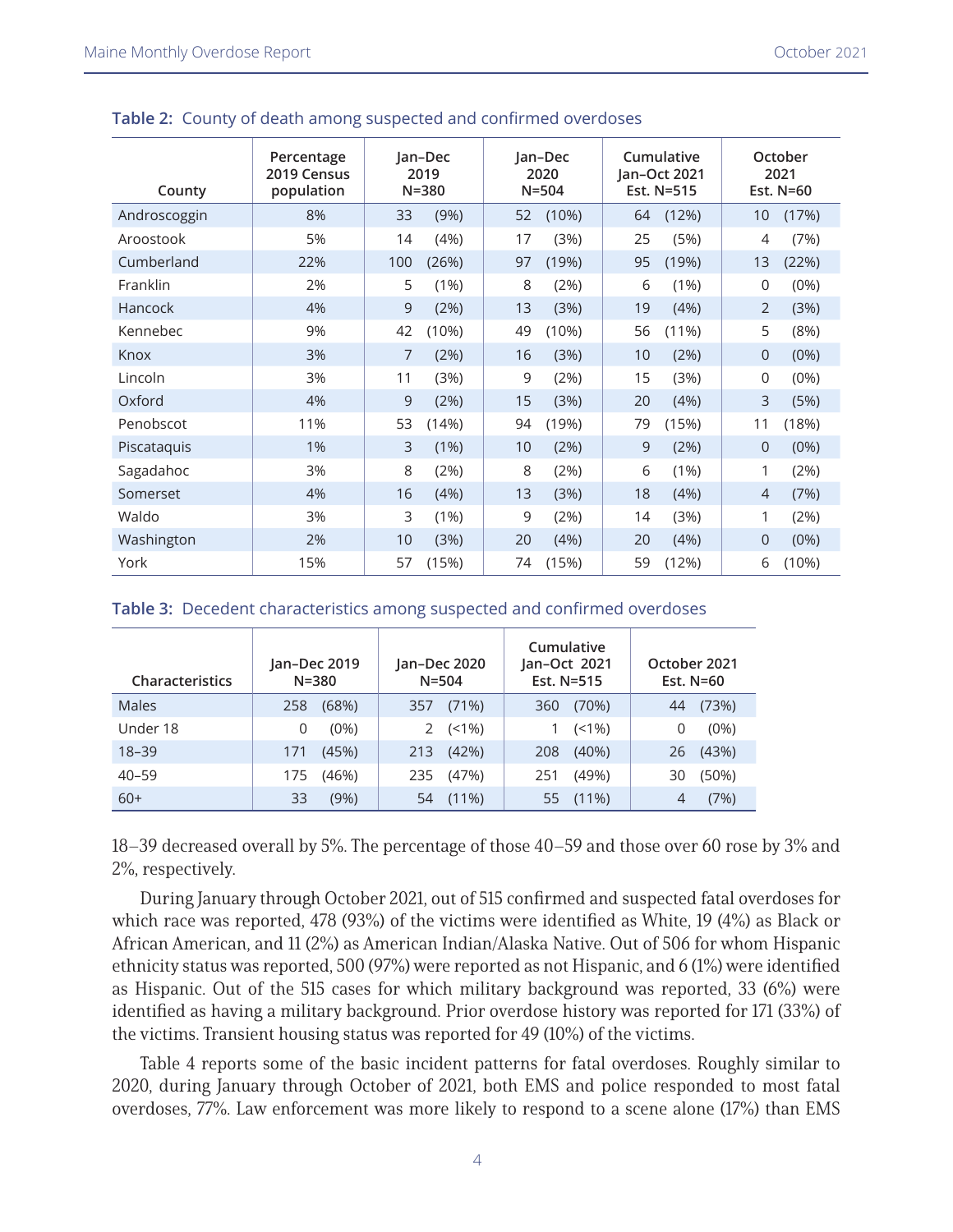| County       | Percentage<br>2019 Census<br>population | Jan-Dec<br>2019<br>$N = 380$ |       | Jan-Dec<br>2020<br>$N = 504$ |       | Cumulative<br>Jan-Oct 2021<br>Est. N=515 |          | October<br>2021<br>Est. N=60 |         |
|--------------|-----------------------------------------|------------------------------|-------|------------------------------|-------|------------------------------------------|----------|------------------------------|---------|
| Androscoggin | 8%                                      | 33                           | (9%)  | 52                           | (10%) | 64                                       | (12%)    | 10                           | (17%)   |
| Aroostook    | 5%                                      | 14                           | (4%)  | 17                           | (3%)  | 25                                       | (5%)     | 4                            | (7%)    |
| Cumberland   | 22%                                     | 100                          | (26%) | 97                           | (19%) | 95                                       | (19%)    | 13                           | (22%)   |
| Franklin     | 2%                                      | 5                            | (1%)  | 8                            | (2%)  | 6                                        | $(1\%)$  | 0                            | (0%)    |
| Hancock      | 4%                                      | 9                            | (2%)  | 13                           | (3%)  | 19                                       | (4%)     | $\overline{2}$               | (3%)    |
| Kennebec     | 9%                                      | 42                           | (10%) | 49                           | (10%) | 56                                       | $(11\%)$ | 5                            | (8%)    |
| Knox         | 3%                                      | 7                            | (2%)  | 16                           | (3%)  | 10                                       | (2%)     | $\Omega$                     | (0%)    |
| Lincoln      | 3%                                      | 11                           | (3%)  | 9                            | (2%)  | 15                                       | (3%)     | 0                            | (0%)    |
| Oxford       | 4%                                      | 9                            | (2%)  | 15                           | (3%)  | 20                                       | (4%)     | 3                            | (5%)    |
| Penobscot    | 11%                                     | 53                           | (14%) | 94                           | (19%) | 79                                       | (15%)    | 11                           | (18%)   |
| Piscataquis  | 1%                                      | 3                            | (1%)  | 10                           | (2%)  | 9                                        | (2%)     | $\Omega$                     | (0%)    |
| Sagadahoc    | 3%                                      | 8                            | (2%)  | 8                            | (2%)  | 6                                        | $(1\%)$  | 1                            | (2%)    |
| Somerset     | 4%                                      | 16                           | (4%)  | 13                           | (3%)  | 18                                       | (4%)     | $\overline{4}$               | (7%)    |
| Waldo        | 3%                                      | 3                            | (1%)  | 9                            | (2%)  | 14                                       | (3%)     | 1                            | (2%)    |
| Washington   | 2%                                      | 10                           | (3%)  | 20                           | (4%)  | 20                                       | (4%)     | $\Omega$                     | $(0\%)$ |
| York         | 15%                                     | 57                           | (15%) | 74                           | (15%) | 59                                       | (12%)    | 6                            | (10%)   |

#### **Table 2:** County of death among suspected and confirmed overdoses

#### **Table 3:** Decedent characteristics among suspected and confirmed overdoses

| <b>Characteristics</b> | Jan-Dec 2019<br>$N = 380$ | Jan-Dec 2020<br>$N = 504$ | Cumulative<br>Jan-Oct 2021<br>Est. N=515 | October 2021<br>Est. N=60 |  |  |
|------------------------|---------------------------|---------------------------|------------------------------------------|---------------------------|--|--|
| Males                  | (68%)                     | (71%)                     | (70%)                                    | (73%)                     |  |  |
|                        | 258                       | 357                       | 360                                      | 44                        |  |  |
| Under 18               | $(0\%)$<br>O              | $(< 1\%)$                 | $(< 1\%)$                                | $(0\%)$<br>0              |  |  |
| $18 - 39$              | (45%)                     | (42%)                     | $(40\%)$                                 | (43%)                     |  |  |
|                        | 171                       | 213                       | 208                                      | 26                        |  |  |
| $40 - 59$              | (46%)                     | (47%)                     | (49%)                                    | (50%)                     |  |  |
|                        | 175                       | 235                       | 251                                      | 30                        |  |  |
| $60+$                  | (9%)                      | $(11\%)$                  | $(11\%)$                                 | (7%)                      |  |  |
|                        | 33                        | 54                        | 55                                       | 4                         |  |  |

18–39 decreased overall by 5%. The percentage of those 40–59 and those over 60 rose by 3% and 2%, respectively.

During January through October 2021, out of 515 confirmed and suspected fatal overdoses for which race was reported, 478 (93%) of the victims were identified as White, 19 (4%) as Black or African American, and 11 (2%) as American Indian/Alaska Native. Out of 506 for whom Hispanic ethnicity status was reported, 500 (97%) were reported as not Hispanic, and 6 (1%) were identified as Hispanic. Out of the 515 cases for which military background was reported, 33 (6%) were identified as having a military background. Prior overdose history was reported for 171 (33%) of the victims. Transient housing status was reported for 49 (10%) of the victims.

Table 4 reports some of the basic incident patterns for fatal overdoses. Roughly similar to 2020, during January through October of 2021, both EMS and police responded to most fatal overdoses, 77%. Law enforcement was more likely to respond to a scene alone (17%) than EMS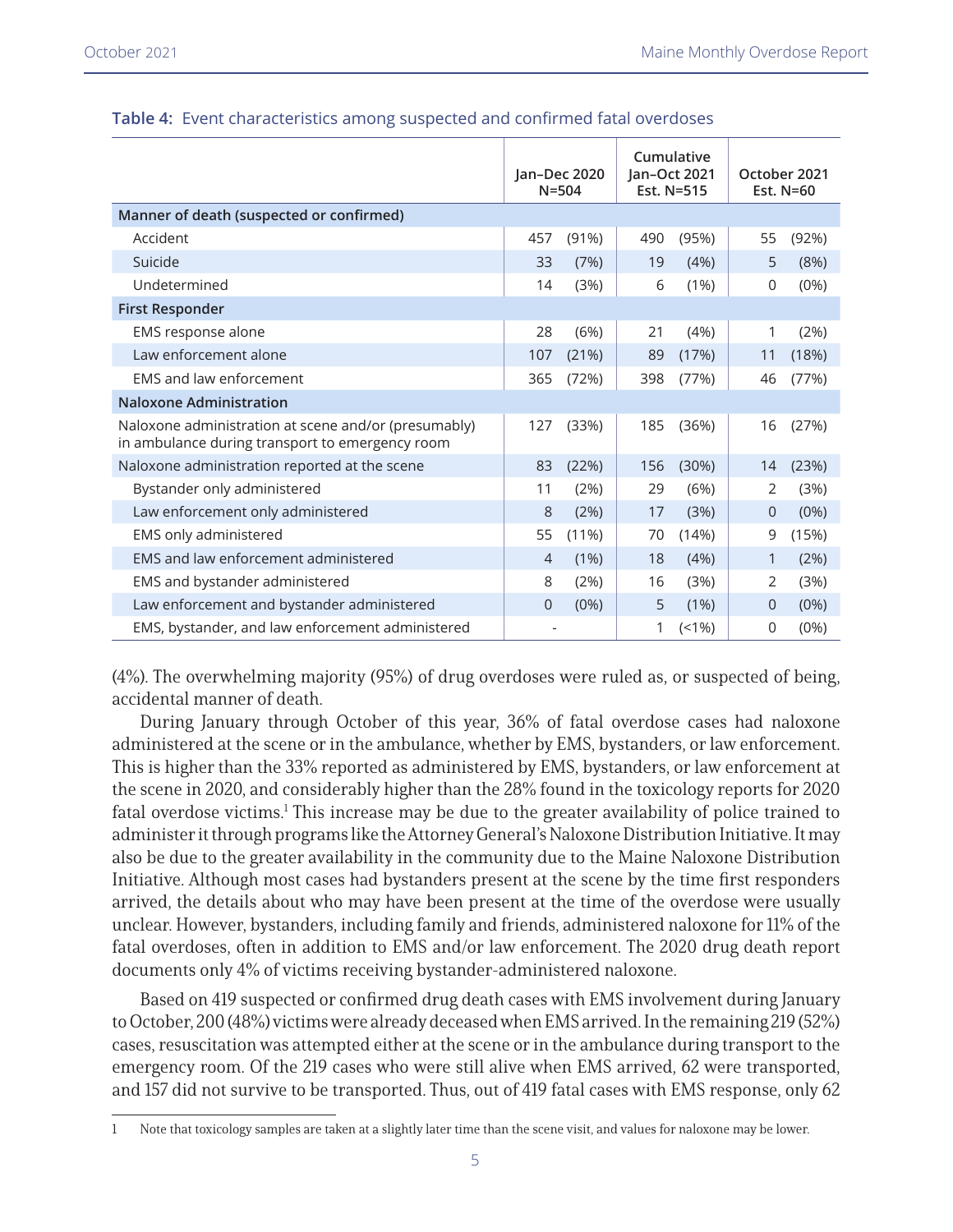|                                                                                                         | Jan-Dec 2020<br>$N = 504$ |          | Cumulative<br>Jan-Oct 2021<br>Est. N=515 |         | October 2021<br>Est. N=60 |         |
|---------------------------------------------------------------------------------------------------------|---------------------------|----------|------------------------------------------|---------|---------------------------|---------|
| Manner of death (suspected or confirmed)                                                                |                           |          |                                          |         |                           |         |
| Accident                                                                                                | 457                       | (91%)    | 490                                      | (95%)   | 55                        | (92%)   |
| Suicide                                                                                                 | 33                        | (7%)     | 19                                       | (4%)    | 5                         | (8%)    |
| Undetermined                                                                                            | 14                        | (3%)     | 6                                        | $(1\%)$ | 0                         | (0%)    |
| <b>First Responder</b>                                                                                  |                           |          |                                          |         |                           |         |
| EMS response alone                                                                                      | 28                        | (6%)     | 21                                       | (4%)    | 1                         | (2%)    |
| Law enforcement alone                                                                                   | 107                       | (21%)    | 89                                       | (17%)   | 11                        | (18%)   |
| <b>EMS and law enforcement</b>                                                                          | 365                       | (72%)    | 398                                      | (77%)   | 46                        | (77%)   |
| <b>Naloxone Administration</b>                                                                          |                           |          |                                          |         |                           |         |
| Naloxone administration at scene and/or (presumably)<br>in ambulance during transport to emergency room | 127                       | (33%)    | 185                                      | (36%)   | 16                        | (27%)   |
| Naloxone administration reported at the scene                                                           | 83                        | (22%)    | 156                                      | (30%)   | 14                        | (23%)   |
| Bystander only administered                                                                             | 11                        | (2%)     | 29                                       | (6%)    | 2                         | (3%)    |
| Law enforcement only administered                                                                       | 8                         | (2%)     | 17                                       | (3%)    | $\overline{0}$            | $(0\%)$ |
| EMS only administered                                                                                   | 55                        | $(11\%)$ | 70                                       | (14%)   | 9                         | (15%)   |
| EMS and law enforcement administered                                                                    | $\overline{4}$            | (1%)     | 18                                       | (4%)    | $\mathbf{1}$              | (2%)    |
| EMS and bystander administered                                                                          | 8                         | (2%)     | 16                                       | (3%)    | 2                         | (3%)    |
| Law enforcement and bystander administered                                                              | 0                         | (0%)     | 5                                        | (1%)    | $\mathbf{0}$              | $(0\%)$ |
| EMS, bystander, and law enforcement administered                                                        |                           |          | 1                                        | (1%)    | 0                         | (0% )   |

#### **Table 4:** Event characteristics among suspected and confirmed fatal overdoses

(4%). The overwhelming majority (95%) of drug overdoses were ruled as, or suspected of being, accidental manner of death.

During January through October of this year, 36% of fatal overdose cases had naloxone administered at the scene or in the ambulance, whether by EMS, bystanders, or law enforcement. This is higher than the 33% reported as administered by EMS, bystanders, or law enforcement at the scene in 2020, and considerably higher than the 28% found in the toxicology reports for 2020 fatal overdose victims.<sup>1</sup> This increase may be due to the greater availability of police trained to administer it through programs like the Attorney General's Naloxone Distribution Initiative. It may also be due to the greater availability in the community due to the Maine Naloxone Distribution Initiative. Although most cases had bystanders present at the scene by the time first responders arrived, the details about who may have been present at the time of the overdose were usually unclear. However, bystanders, including family and friends, administered naloxone for 11% of the fatal overdoses, often in addition to EMS and/or law enforcement. The 2020 drug death report documents only 4% of victims receiving bystander-administered naloxone.

Based on 419 suspected or confirmed drug death cases with EMS involvement during January to October, 200 (48%) victims were already deceased when EMS arrived. In the remaining 219 (52%) cases, resuscitation was attempted either at the scene or in the ambulance during transport to the emergency room. Of the 219 cases who were still alive when EMS arrived, 62 were transported, and 157 did not survive to be transported. Thus, out of 419 fatal cases with EMS response, only 62

<sup>1</sup> Note that toxicology samples are taken at a slightly later time than the scene visit, and values for naloxone may be lower.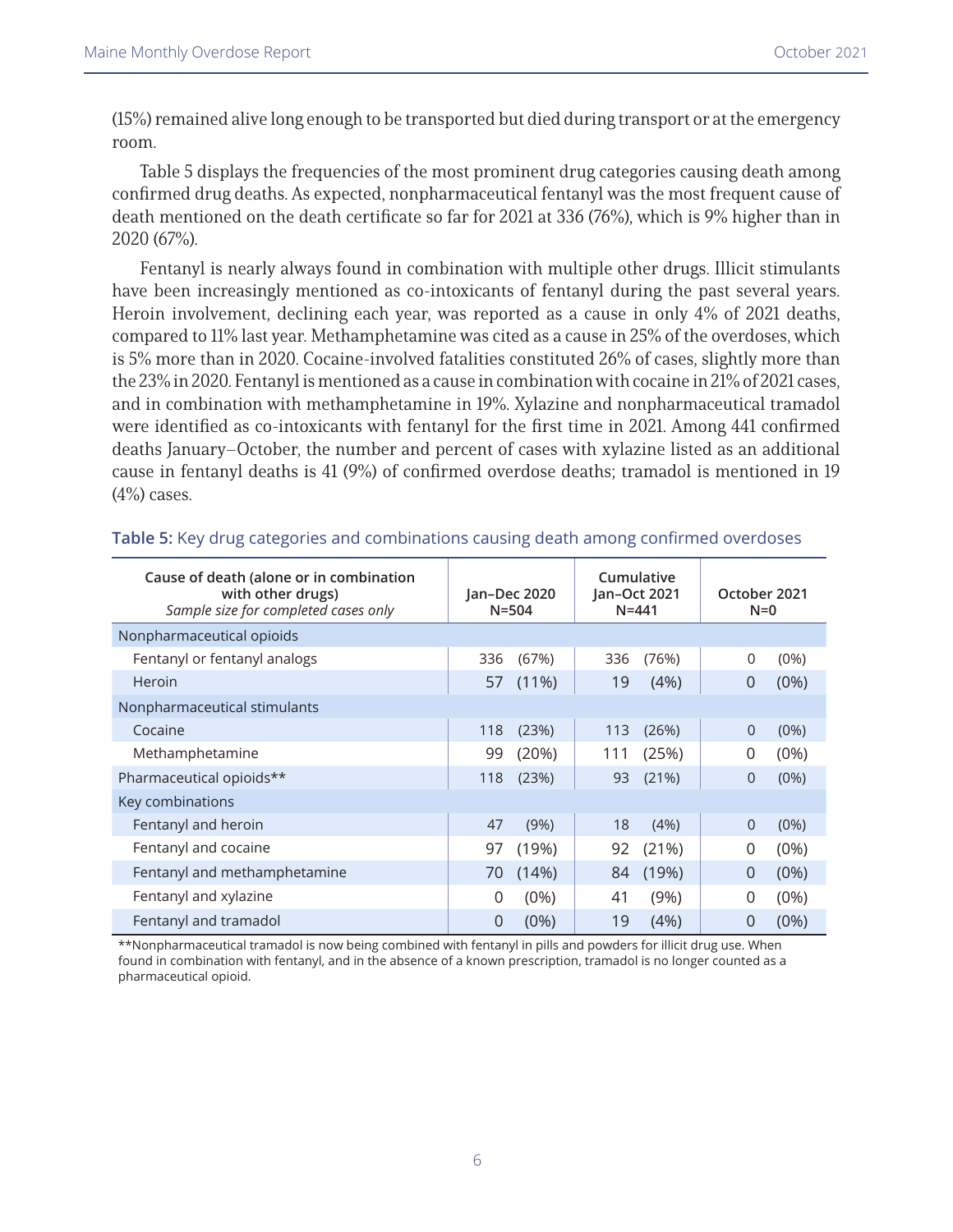(15%) remained alive long enough to be transported but died during transport or at the emergency room.

Table 5 displays the frequencies of the most prominent drug categories causing death among confirmed drug deaths. As expected, nonpharmaceutical fentanyl was the most frequent cause of death mentioned on the death certificate so far for 2021 at 336 (76%), which is 9% higher than in 2020 (67%).

Fentanyl is nearly always found in combination with multiple other drugs. Illicit stimulants have been increasingly mentioned as co-intoxicants of fentanyl during the past several years. Heroin involvement, declining each year, was reported as a cause in only 4% of 2021 deaths, compared to 11% last year. Methamphetamine was cited as a cause in 25% of the overdoses, which is 5% more than in 2020. Cocaine-involved fatalities constituted 26% of cases, slightly more than the 23% in 2020. Fentanyl is mentioned as a cause in combination with cocaine in 21% of 2021 cases, and in combination with methamphetamine in 19%. Xylazine and nonpharmaceutical tramadol were identified as co-intoxicants with fentanyl for the first time in 2021. Among 441 confirmed deaths January–October, the number and percent of cases with xylazine listed as an additional cause in fentanyl deaths is 41 (9%) of confirmed overdose deaths; tramadol is mentioned in 19  $(4%)$  cases.

| Cause of death (alone or in combination<br>with other drugs)<br>Sample size for completed cases only | Jan-Dec 2020<br>$N = 504$ |          | Cumulative<br>Jan-Oct 2021<br>$N = 441$ |       | October 2021<br>$N=0$ |         |
|------------------------------------------------------------------------------------------------------|---------------------------|----------|-----------------------------------------|-------|-----------------------|---------|
| Nonpharmaceutical opioids                                                                            |                           |          |                                         |       |                       |         |
| Fentanyl or fentanyl analogs                                                                         | 336                       | (67%)    | 336                                     | (76%) | 0                     | (0%)    |
| Heroin                                                                                               | 57                        | $(11\%)$ | 19                                      | (4%)  | 0                     | $(0\%)$ |
| Nonpharmaceutical stimulants                                                                         |                           |          |                                         |       |                       |         |
| Cocaine                                                                                              | 118                       | (23%)    | 113                                     | (26%) | $\overline{0}$        | $(0\%)$ |
| Methamphetamine                                                                                      | 99                        | (20%)    | 111                                     | (25%) | 0                     | $(0\%)$ |
| Pharmaceutical opioids**                                                                             | 118                       | (23%)    | 93                                      | (21%) | $\Omega$              | $(0\%)$ |
| Key combinations                                                                                     |                           |          |                                         |       |                       |         |
| Fentanyl and heroin                                                                                  | 47                        | (9%)     | 18                                      | (4%)  | $\Omega$              | (0%)    |
| Fentanyl and cocaine                                                                                 | 97                        | (19%)    | 92                                      | (21%) | $\Omega$              | $(0\%)$ |
| Fentanyl and methamphetamine                                                                         | 70                        | (14%)    | 84                                      | (19%) | $\Omega$              | $(0\%)$ |
| Fentanyl and xylazine                                                                                | $\Omega$                  | $(0\%)$  | 41                                      | (9%)  | 0                     | $(0\%)$ |
| Fentanyl and tramadol                                                                                | $\overline{0}$            | $(0\%)$  | 19                                      | (4%)  | 0                     | (0%)    |

**Table 5:** Key drug categories and combinations causing death among confirmed overdoses

\*\*Nonpharmaceutical tramadol is now being combined with fentanyl in pills and powders for illicit drug use. When found in combination with fentanyl, and in the absence of a known prescription, tramadol is no longer counted as a pharmaceutical opioid.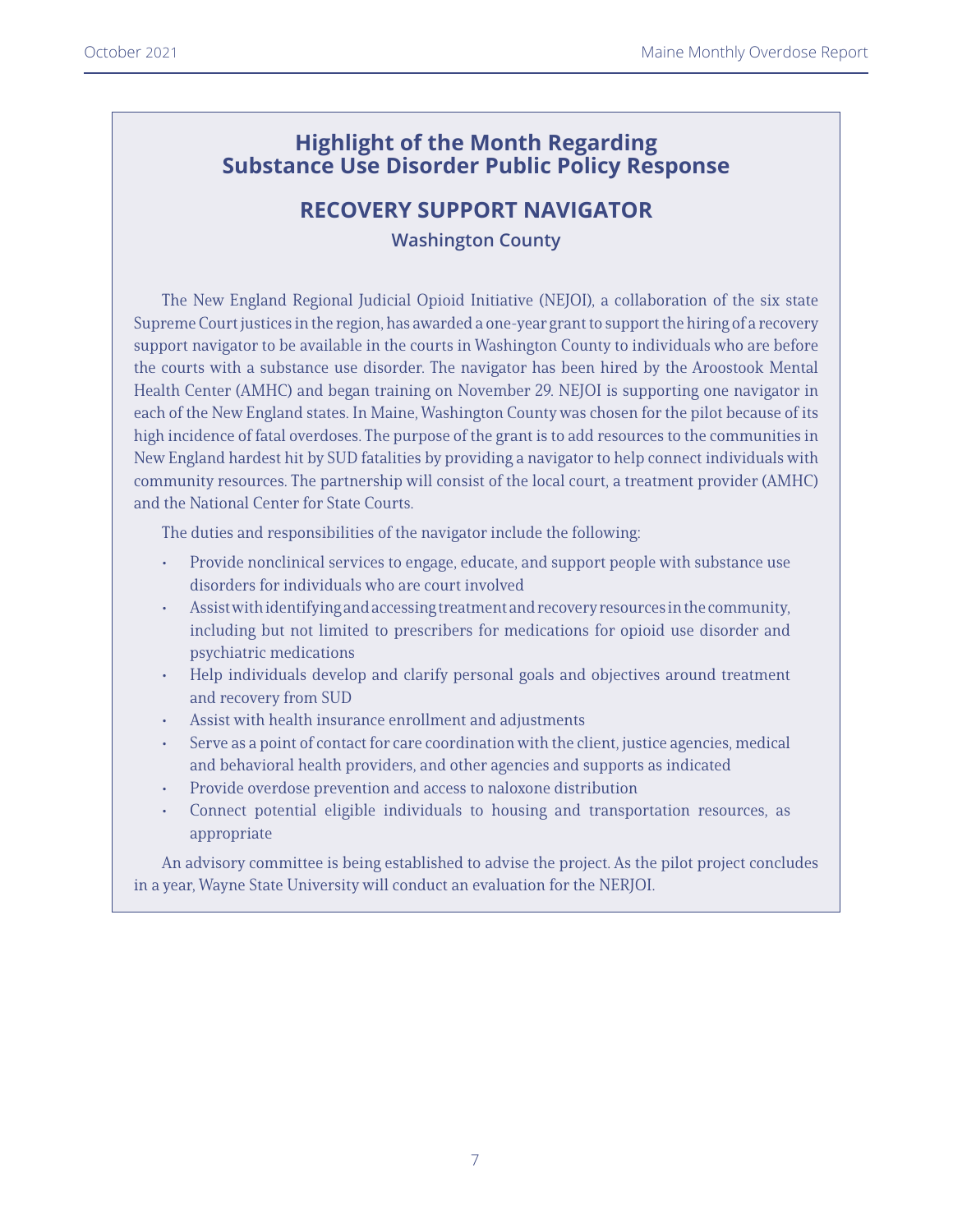## **Highlight of the Month Regarding Substance Use Disorder Public Policy Response**

# **RECOVERY SUPPORT NAVIGATOR**

**Washington County**

The New England Regional Judicial Opioid Initiative (NEJOI), a collaboration of the six state Supreme Court justices in the region, has awarded a one-year grant to support the hiring of a recovery support navigator to be available in the courts in Washington County to individuals who are before the courts with a substance use disorder. The navigator has been hired by the Aroostook Mental Health Center (AMHC) and began training on November 29. NEJOI is supporting one navigator in each of the New England states. In Maine, Washington County was chosen for the pilot because of its high incidence of fatal overdoses. The purpose of the grant is to add resources to the communities in New England hardest hit by SUD fatalities by providing a navigator to help connect individuals with community resources. The partnership will consist of the local court, a treatment provider (AMHC) and the National Center for State Courts.

The duties and responsibilities of the navigator include the following:

- Provide nonclinical services to engage, educate, and support people with substance use disorders for individuals who are court involved
- Assist with identifying and accessing treatment and recovery resources in the community, including but not limited to prescribers for medications for opioid use disorder and psychiatric medications
- Help individuals develop and clarify personal goals and objectives around treatment and recovery from SUD
- Assist with health insurance enrollment and adjustments
- Serve as a point of contact for care coordination with the client, justice agencies, medical and behavioral health providers, and other agencies and supports as indicated
- Provide overdose prevention and access to naloxone distribution
- Connect potential eligible individuals to housing and transportation resources, as appropriate

An advisory committee is being established to advise the project. As the pilot project concludes in a year, Wayne State University will conduct an evaluation for the NERJOI.